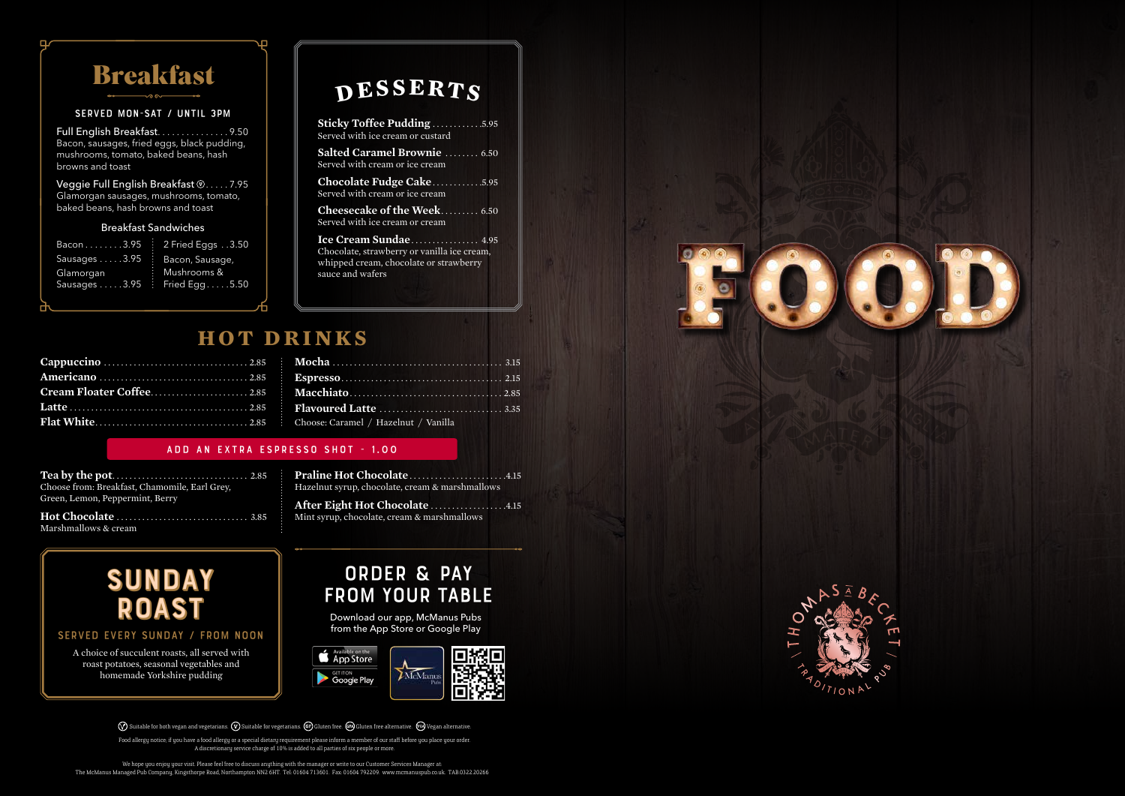A choice of succulent roasts, all served with roast potatoes, seasonal vegetables and homemade Yorkshire pudding

We hope you enjoy your visit. Please feel free to discuss anything with the manager or write to our Customer Services Manager at: The McManus Managed Pub Company, Kingsthorpe Road, Northampton NN2 6HT. Tel: 01604 713601. Fax: 01604 792209. www.mcmanuspub.co.uk. TAB.0322.20266



## **desserts**

## order & pay from your table

Download our app, McManus Pubs from the App Store or Google Play



 $\oslash$  Suitable for both vegan and vegetarians.  $\oslash$  Suitable for vegetarians.  $\oslash$  Gluten free.  $\oslash$ Gluten free alternative.  $\oslash$  Vegan alternative.

| <b>Sticky Toffee Pudding 5.95</b><br>Served with ice cream or custard                                                              |
|------------------------------------------------------------------------------------------------------------------------------------|
| <b>Salted Caramel Brownie</b> 6.50<br>Served with cream or ice cream                                                               |
| Chocolate Fudge Cake5.95<br>Served with cream or ice cream                                                                         |
| <b>Cheesecake of the Week 6.50</b><br>Served with ice cream or cream                                                               |
| Ice Cream Sundae 4.95<br>Chocolate, strawberry or vanilla ice cream,<br>whipped cream, chocolate or strawberry<br>sauce and wafers |



SERVED EVERY SUNDAY / FROM NOON

| <b>Breakfast</b>                                                                                                                        |                                                 |
|-----------------------------------------------------------------------------------------------------------------------------------------|-------------------------------------------------|
| <b>SERVED MON-SAT / UNTIL 3PM</b>                                                                                                       |                                                 |
| Full English Breakfast. 9.50<br>Bacon, sausages, fried eggs, black pudding,<br>mushrooms, tomato, baked beans, hash<br>browns and toast |                                                 |
| Veggie Full English Breakfast <b>W. </b> . 7.95<br>Glamorgan sausages, mushrooms, tomato,<br>baked beans, hash browns and toast         |                                                 |
| <b>Breakfast Sandwiches</b>                                                                                                             |                                                 |
| Bacon3.95                                                                                                                               | 2 Fried Eggs 3.50                               |
| Sausages 3.95<br>Glamorgan<br>Sausages 3.95                                                                                             | Bacon, Sausage,<br>Mushrooms &<br>Fried Egg5.50 |

Food allergy notice; if you have a food allergy or a special dietary requirement please inform a member of our staff before you place your order. A discretionary service charge of 10% is added to all parties of six people or more.

| Sausages 3.95<br>Glamorgan<br>Sausages 3.95 : | Bacon 3.95<br>2 Fried Eggs 3.50<br>Bacon, Sausage,<br>Mushrooms &<br>Fried Egg5.50 |
|-----------------------------------------------|------------------------------------------------------------------------------------|
|                                               | <b>НОТ П</b>                                                                       |
|                                               |                                                                                    |
|                                               | Cream Floater Coffee2.85                                                           |
|                                               |                                                                                    |
|                                               |                                                                                    |
|                                               |                                                                                    |
|                                               | <b>ADD AN EXTRA ES</b>                                                             |
| Green, Lemon, Peppermint, Berry               | Choose from: Breakfast, Chamomile, Earl Grey,                                      |
| Marshmallows & cream                          |                                                                                    |

| Choose: Caramel / Hazelnut / Vanilla |  |
|--------------------------------------|--|

#### add an extra espresso shot - 1.00

| Choose from: Breakfast, Chamomile, Earl Grey, |
|-----------------------------------------------|
| Green, Lemon, Peppermint, Berry               |
|                                               |

**Praline Hot Chocolate** . . . . . . . . . . . . . . . . . . . . . . 4.15 Hazelnut syrup, chocolate, cream & marshmallows

**After Eight Hot Chocolate** . . . . . . . . . . . . . . . . . 4.15 Mint syrup, chocolate, cream & marshmallows

## **h ot drinks**